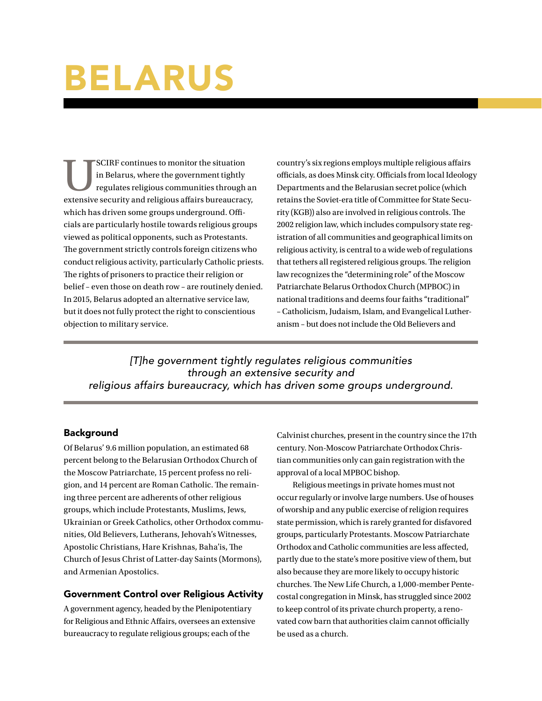# BELARUS

SCIRF continues to monitor the situation<br>in Belarus, where the government tightly<br>regulates religious communities through<br>extensive security and religious affairs bureaucrac in Belarus, where the government tightly regulates religious communities through an extensive security and religious affairs bureaucracy, which has driven some groups underground. Officials are particularly hostile towards religious groups viewed as political opponents, such as Protestants. The government strictly controls foreign citizens who conduct religious activity, particularly Catholic priests. The rights of prisoners to practice their religion or belief – even those on death row – are routinely denied. In 2015, Belarus adopted an alternative service law, but it does not fully protect the right to conscientious objection to military service.

country's six regions employs multiple religious affairs officials, as does Minsk city. Officials from local Ideology Departments and the Belarusian secret police (which retains the Soviet-era title of Committee for State Security (KGB)) also are involved in religious controls. The 2002 religion law, which includes compulsory state registration of all communities and geographical limits on religious activity, is central to a wide web of regulations that tethers all registered religious groups. The religion law recognizes the "determining role" of the Moscow Patriarchate Belarus Orthodox Church (MPBOC) in national traditions and deems four faiths "traditional" – Catholicism, Judaism, Islam, and Evangelical Lutheranism – but does not include the Old Believers and

*[T]he government tightly regulates religious communities through an extensive security and religious affairs bureaucracy, which has driven some groups underground.*

## **Background**

Of Belarus' 9.6 million population, an estimated 68 percent belong to the Belarusian Orthodox Church of the Moscow Patriarchate, 15 percent profess no religion, and 14 percent are Roman Catholic. The remaining three percent are adherents of other religious groups, which include Protestants, Muslims, Jews, Ukrainian or Greek Catholics, other Orthodox communities, Old Believers, Lutherans, Jehovah's Witnesses, Apostolic Christians, Hare Krishnas, Baha'is, The Church of Jesus Christ of Latter-day Saints (Mormons), and Armenian Apostolics.

## Government Control over Religious Activity

A government agency, headed by the Plenipotentiary for Religious and Ethnic Affairs, oversees an extensive bureaucracy to regulate religious groups; each of the

Calvinist churches, present in the country since the 17th century. Non-Moscow Patriarchate Orthodox Christian communities only can gain registration with the approval of a local MPBOC bishop.

Religious meetings in private homes must not occur regularly or involve large numbers. Use of houses of worship and any public exercise of religion requires state permission, which is rarely granted for disfavored groups, particularly Protestants. Moscow Patriarchate Orthodox and Catholic communities are less affected, partly due to the state's more positive view of them, but also because they are more likely to occupy historic churches. The New Life Church, a 1,000-member Pentecostal congregation in Minsk, has struggled since 2002 to keep control of its private church property, a renovated cow barn that authorities claim cannot officially be used as a church.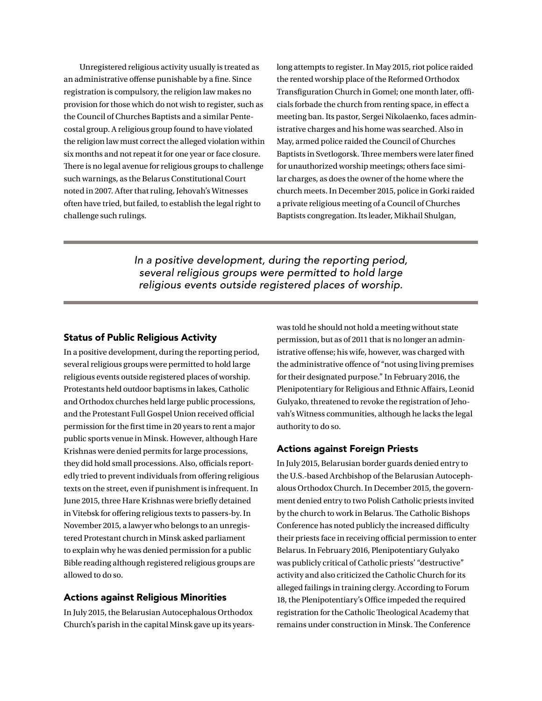Unregistered religious activity usually is treated as an administrative offense punishable by a fine. Since registration is compulsory, the religion law makes no provision for those which do not wish to register, such as the Council of Churches Baptists and a similar Pentecostal group. A religious group found to have violated the religion law must correct the alleged violation within six months and not repeat it for one year or face closure. There is no legal avenue for religious groups to challenge such warnings, as the Belarus Constitutional Court noted in 2007. After that ruling, Jehovah's Witnesses often have tried, but failed, to establish the legal right to challenge such rulings.

long attempts to register. In May 2015, riot police raided the rented worship place of the Reformed Orthodox Transfiguration Church in Gomel; one month later, officials forbade the church from renting space, in effect a meeting ban. Its pastor, Sergei Nikolaenko, faces administrative charges and his home was searched. Also in May, armed police raided the Council of Churches Baptists in Svetlogorsk. Three members were later fined for unauthorized worship meetings; others face similar charges, as does the owner of the home where the church meets. In December 2015, police in Gorki raided a private religious meeting of a Council of Churches Baptists congregation. Its leader, Mikhail Shulgan,

*In a positive development, during the reporting period, several religious groups were permitted to hold large religious events outside registered places of worship.*

#### Status of Public Religious Activity

In a positive development, during the reporting period, several religious groups were permitted to hold large religious events outside registered places of worship. Protestants held outdoor baptisms in lakes, Catholic and Orthodox churches held large public processions, and the Protestant Full Gospel Union received official permission for the first time in 20 years to rent a major public sports venue in Minsk. However, although Hare Krishnas were denied permits for large processions, they did hold small processions. Also, officials reportedly tried to prevent individuals from offering religious texts on the street, even if punishment is infrequent. In June 2015, three Hare Krishnas were briefly detained in Vitebsk for offering religious texts to passers-by. In November 2015, a lawyer who belongs to an unregistered Protestant church in Minsk asked parliament to explain why he was denied permission for a public Bible reading although registered religious groups are allowed to do so.

#### Actions against Religious Minorities

In July 2015, the Belarusian Autocephalous Orthodox Church's parish in the capital Minsk gave up its yearswas told he should not hold a meeting without state permission, but as of 2011 that is no longer an administrative offense; his wife, however, was charged with the administrative offence of "not using living premises for their designated purpose." In February 2016, the Plenipotentiary for Religious and Ethnic Affairs, Leonid Gulyako, threatened to revoke the registration of Jehovah's Witness communities, although he lacks the legal authority to do so.

### Actions against Foreign Priests

In July 2015, Belarusian border guards denied entry to the U.S.-based Archbishop of the Belarusian Autocephalous Orthodox Church. In December 2015, the government denied entry to two Polish Catholic priests invited by the church to work in Belarus. The Catholic Bishops Conference has noted publicly the increased difficulty their priests face in receiving official permission to enter Belarus. In February 2016, Plenipotentiary Gulyako was publicly critical of Catholic priests' "destructive" activity and also criticized the Catholic Church for its alleged failings in training clergy. According to Forum 18, the Plenipotentiary's Office impeded the required registration for the Catholic Theological Academy that remains under construction in Minsk. The Conference